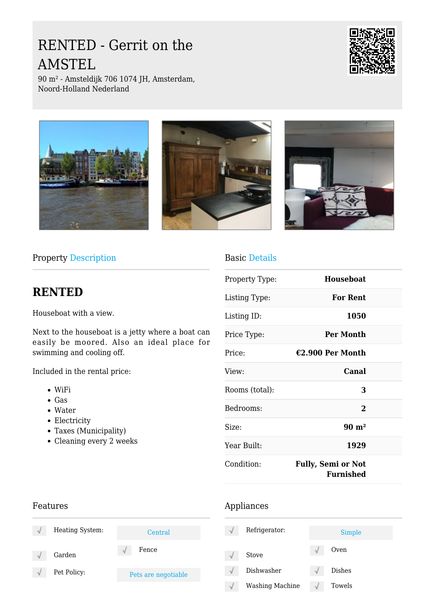# RENTED - Gerrit on the AMSTEL



90 m² - Amsteldijk 706 1074 JH, Amsterdam, Noord-Holland Nederland



Property Description

## **RENTED**

Houseboat with a view.

Next to the houseboat is a jetty where a boat can easily be moored. Also an ideal place for swimming and cooling off.

Included in the rental price:

- WiFi
- Gas
- Water
- Electricity
- Taxes (Municipality)
- Cleaning every 2 weeks

### Basic Details

| Property Type: | <b>Houseboat</b>                       |  |
|----------------|----------------------------------------|--|
| Listing Type:  | <b>For Rent</b>                        |  |
| Listing ID:    | 1050                                   |  |
| Price Type:    | Per Month                              |  |
| Price:         | €2.900 Per Month                       |  |
| View:          | Canal                                  |  |
| Rooms (total): | 3                                      |  |
| Bedrooms:      | $\bf{2}$                               |  |
| Size:          | $90 \text{ m}^2$                       |  |
| Year Built:    | 1929                                   |  |
| Condition:     | <b>Fully, Semi or Not</b><br>Furnished |  |

## Features

| ٦J | Heating System: | Central             |
|----|-----------------|---------------------|
|    | Garden          | Fence               |
|    | Pet Policy:     | Pets are negotiable |

#### Appliances